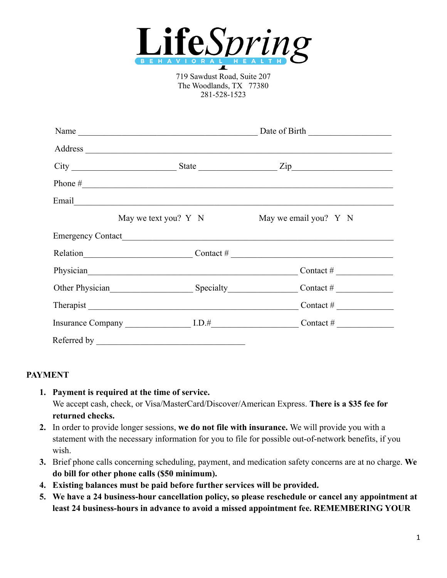

719 Sawdust Road, Suite 207 The Woodlands, TX 77380 281-528-1523

|                                                                                                                                                                                                                                | Name                                                                                                                                                                                                                           |                                                                                                                               |
|--------------------------------------------------------------------------------------------------------------------------------------------------------------------------------------------------------------------------------|--------------------------------------------------------------------------------------------------------------------------------------------------------------------------------------------------------------------------------|-------------------------------------------------------------------------------------------------------------------------------|
|                                                                                                                                                                                                                                |                                                                                                                                                                                                                                |                                                                                                                               |
|                                                                                                                                                                                                                                |                                                                                                                                                                                                                                |                                                                                                                               |
|                                                                                                                                                                                                                                |                                                                                                                                                                                                                                | Phone $\#$                                                                                                                    |
| Email Communication of the communication of the communication of the communication of the communication of the communication of the communication of the communication of the communication of the communication of the commun |                                                                                                                                                                                                                                |                                                                                                                               |
|                                                                                                                                                                                                                                | May we text you? $Y \ N$                                                                                                                                                                                                       | May we email you? Y N                                                                                                         |
|                                                                                                                                                                                                                                |                                                                                                                                                                                                                                |                                                                                                                               |
|                                                                                                                                                                                                                                |                                                                                                                                                                                                                                | Relation $\qquad \qquad \qquad \qquad \qquad \qquad \text{Contact } \# \qquad \qquad \qquad \qquad \qquad \text{Contact } \#$ |
|                                                                                                                                                                                                                                | Physician here are a series of the series of the series of the series of the series of the series of the series of the series of the series of the series of the series of the series of the series of the series of the serie |                                                                                                                               |
|                                                                                                                                                                                                                                |                                                                                                                                                                                                                                | Other Physician Specialty Specialty Contact #                                                                                 |
|                                                                                                                                                                                                                                |                                                                                                                                                                                                                                |                                                                                                                               |
|                                                                                                                                                                                                                                |                                                                                                                                                                                                                                |                                                                                                                               |
| Referred by                                                                                                                                                                                                                    |                                                                                                                                                                                                                                |                                                                                                                               |

#### **PAYMENT**

- **1. Payment is required at the time of service.** We accept cash, check, or Visa/MasterCard/Discover/American Express. **There is a \$35 fee for returned checks.**
- **2.** In order to provide longer sessions, **we do not file with insurance.** We will provide you with a statement with the necessary information for you to file for possible out-of-network benefits, if you wish.
- **3.** Brief phone calls concerning scheduling, payment, and medication safety concerns are at no charge. **We do bill for other phone calls (\$50 minimum).**
- **4. Existing balances must be paid before further services will be provided.**
- **5. We have a 24 business-hour cancellation policy, so please reschedule or cancel any appointment at least 24 business-hours in advance to avoid a missed appointment fee. REMEMBERING YOUR**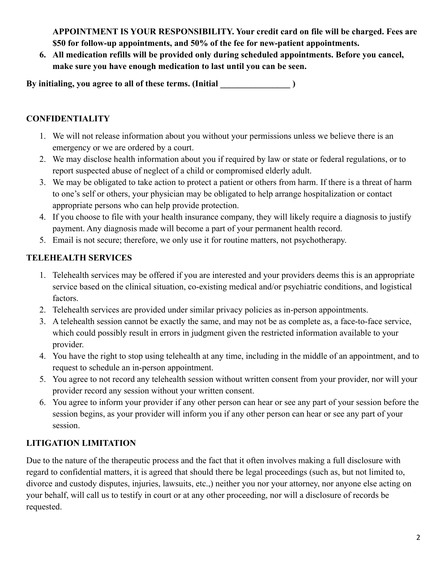**APPOINTMENT IS YOUR RESPONSIBILITY. Your credit card on file will be charged. Fees are \$50 for follow-up appointments, and 50% of the fee for new-patient appointments.**

**6. All medication refills will be provided only during scheduled appointments. Before you cancel, make sure you have enough medication to last until you can be seen.**

By initialing, you agree to all of these terms. (Initial **with all allocate in the set of the set of the set of the set of the set of the set of the set of the set of the set of the set of the set of the set of the set of** 

# **CONFIDENTIALITY**

- 1. We will not release information about you without your permissions unless we believe there is an emergency or we are ordered by a court.
- 2. We may disclose health information about you if required by law or state or federal regulations, or to report suspected abuse of neglect of a child or compromised elderly adult.
- 3. We may be obligated to take action to protect a patient or others from harm. If there is a threat of harm to one's self or others, your physician may be obligated to help arrange hospitalization or contact appropriate persons who can help provide protection.
- 4. If you choose to file with your health insurance company, they will likely require a diagnosis to justify payment. Any diagnosis made will become a part of your permanent health record.
- 5. Email is not secure; therefore, we only use it for routine matters, not psychotherapy.

# **TELEHEALTH SERVICES**

- 1. Telehealth services may be offered if you are interested and your providers deems this is an appropriate service based on the clinical situation, co-existing medical and/or psychiatric conditions, and logistical factors.
- 2. Telehealth services are provided under similar privacy policies as in-person appointments.
- 3. A telehealth session cannot be exactly the same, and may not be as complete as, a face-to-face service, which could possibly result in errors in judgment given the restricted information available to your provider.
- 4. You have the right to stop using telehealth at any time, including in the middle of an appointment, and to request to schedule an in-person appointment.
- 5. You agree to not record any telehealth session without written consent from your provider, nor will your provider record any session without your written consent.
- 6. You agree to inform your provider if any other person can hear or see any part of your session before the session begins, as your provider will inform you if any other person can hear or see any part of your session.

# **LITIGATION LIMITATION**

Due to the nature of the therapeutic process and the fact that it often involves making a full disclosure with regard to confidential matters, it is agreed that should there be legal proceedings (such as, but not limited to, divorce and custody disputes, injuries, lawsuits, etc.,) neither you nor your attorney, nor anyone else acting on your behalf, will call us to testify in court or at any other proceeding, nor will a disclosure of records be requested.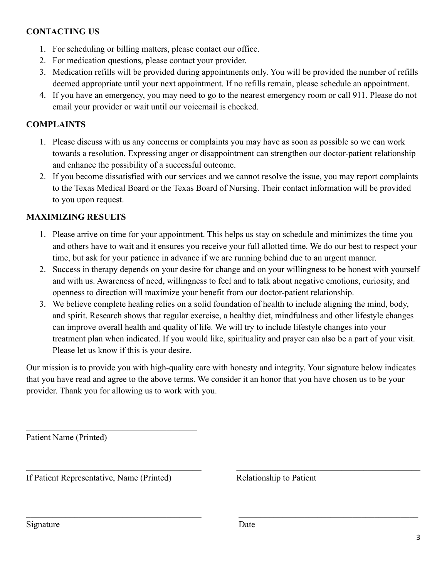### **CONTACTING US**

- 1. For scheduling or billing matters, please contact our office.
- 2. For medication questions, please contact your provider.
- 3. Medication refills will be provided during appointments only. You will be provided the number of refills deemed appropriate until your next appointment. If no refills remain, please schedule an appointment.
- 4. If you have an emergency, you may need to go to the nearest emergency room or call 911. Please do not email your provider or wait until our voicemail is checked.

## **COMPLAINTS**

- 1. Please discuss with us any concerns or complaints you may have as soon as possible so we can work towards a resolution. Expressing anger or disappointment can strengthen our doctor-patient relationship and enhance the possibility of a successful outcome.
- 2. If you become dissatisfied with our services and we cannot resolve the issue, you may report complaints to the Texas Medical Board or the Texas Board of Nursing. Their contact information will be provided to you upon request.

# **MAXIMIZING RESULTS**

- 1. Please arrive on time for your appointment. This helps us stay on schedule and minimizes the time you and others have to wait and it ensures you receive your full allotted time. We do our best to respect your time, but ask for your patience in advance if we are running behind due to an urgent manner.
- 2. Success in therapy depends on your desire for change and on your willingness to be honest with yourself and with us. Awareness of need, willingness to feel and to talk about negative emotions, curiosity, and openness to direction will maximize your benefit from our doctor-patient relationship.
- 3. We believe complete healing relies on a solid foundation of health to include aligning the mind, body, and spirit. Research shows that regular exercise, a healthy diet, mindfulness and other lifestyle changes can improve overall health and quality of life. We will try to include lifestyle changes into your treatment plan when indicated. If you would like, spirituality and prayer can also be a part of your visit. Please let us know if this is your desire.

Our mission is to provide you with high-quality care with honesty and integrity. Your signature below indicates that you have read and agree to the above terms. We consider it an honor that you have chosen us to be your provider. Thank you for allowing us to work with you.

 $\_$  , and the contribution of the contribution of the contribution of the contribution of the contribution of  $\mathcal{L}_\text{max}$ 

 $\_$  , and the contribution of the contribution of  $\mathcal{L}_\mathcal{A}$  , and the contribution of  $\mathcal{L}_\mathcal{A}$  , and the contribution of  $\mathcal{L}_\mathcal{A}$ 

Patient Name (Printed)

If Patient Representative, Name (Printed) Relationship to Patient

 $\mathcal{L}_\text{max}$  , and the set of the set of the set of the set of the set of the set of the set of the set of the set of the set of the set of the set of the set of the set of the set of the set of the set of the set of the

Signature Date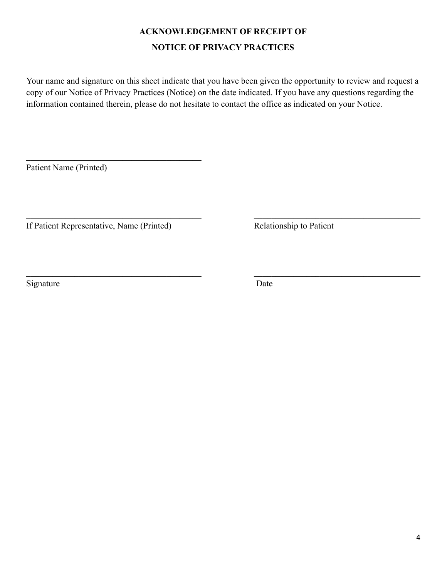# **ACKNOWLEDGEMENT OF RECEIPT OF NOTICE OF PRIVACY PRACTICES**

Your name and signature on this sheet indicate that you have been given the opportunity to review and request a copy of our Notice of Privacy Practices (Notice) on the date indicated. If you have any questions regarding the information contained therein, please do not hesitate to contact the office as indicated on your Notice.

 $\_$  , and the contribution of the contribution of  $\overline{\mathcal{L}}$  , and the contribution of  $\overline{\mathcal{L}}$ 

 $\mathcal{L}_\mathcal{L} = \{ \mathcal{L}_\mathcal{L} = \{ \mathcal{L}_\mathcal{L} = \{ \mathcal{L}_\mathcal{L} = \{ \mathcal{L}_\mathcal{L} = \{ \mathcal{L}_\mathcal{L} = \{ \mathcal{L}_\mathcal{L} = \{ \mathcal{L}_\mathcal{L} = \{ \mathcal{L}_\mathcal{L} = \{ \mathcal{L}_\mathcal{L} = \{ \mathcal{L}_\mathcal{L} = \{ \mathcal{L}_\mathcal{L} = \{ \mathcal{L}_\mathcal{L} = \{ \mathcal{L}_\mathcal{L} = \{ \mathcal{L}_\mathcal{$ 

Patient Name (Printed)

If Patient Representative, Name (Printed) Relationship to Patient

 $\mathcal{L}_\text{max}$  , where  $\mathcal{L}_\text{max}$  and  $\mathcal{L}_\text{max}$  and  $\mathcal{L}_\text{max}$ 

Signature Date